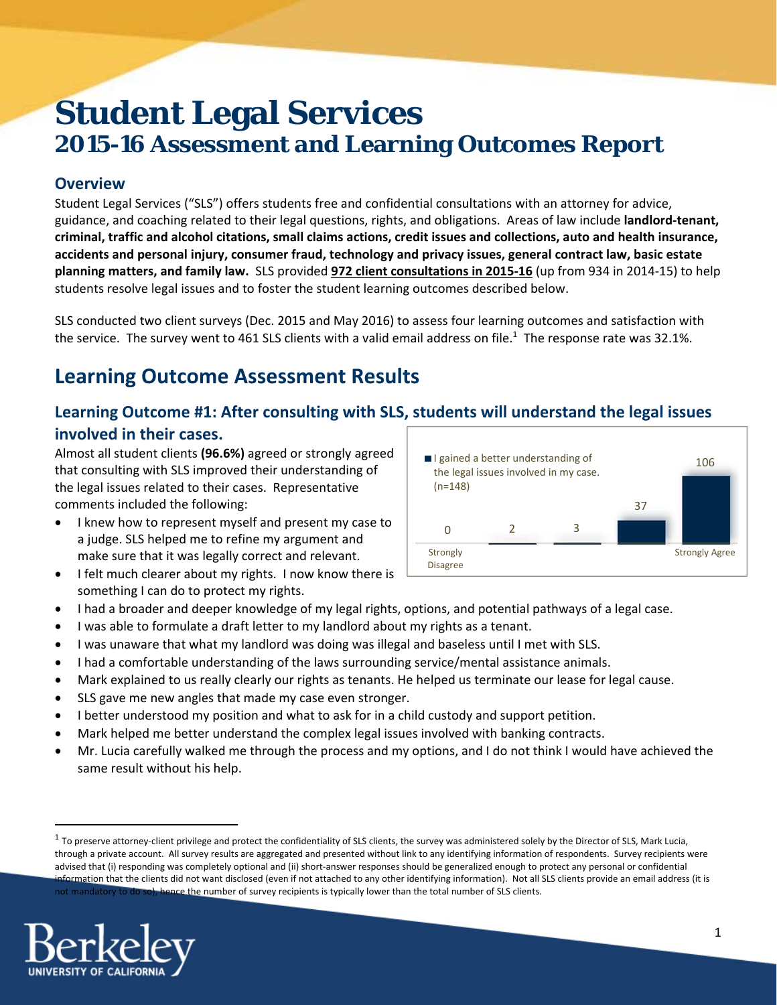# **Student Legal Services 2015-16 Assessment and Learning Outcomes Report**

### **Overview**

Student Legal Services ("SLS") offers students free and confidential consultations with an attorney for advice, guidance, and coaching related to their legal questions, rights, and obligations. Areas of law include **landlord‐tenant,** criminal, traffic and alcohol citations, small claims actions, credit issues and collections, auto and health insurance, **accidents and personal injury, consumer fraud, technology and privacy issues, general contract law, basic estate planning matters, and family law.** SLS provided **972 client consultations in 2015‐16** (up from 934 in 2014‐15) to help students resolve legal issues and to foster the student learning outcomes described below.

SLS conducted two client surveys (Dec. 2015 and May 2016) to assess four learning outcomes and satisfaction with the service. The survey went to 461 SLS clients with a valid email address on file.<sup>1</sup> The response rate was 32.1%.

# **Learning Outcome Assessment Results**

### **Learning Outcome #1: After consulting with SLS, students will understand the legal issues involved in their cases.**

Almost all student clients **(96.6%)** agreed or strongly agreed that consulting with SLS improved their understanding of the legal issues related to their cases. Representative comments included the following:

- I knew how to represent myself and present my case to a judge. SLS helped me to refine my argument and make sure that it was legally correct and relevant.
- I felt much clearer about my rights. I now know there is something I can do to protect my rights.



- I had a broader and deeper knowledge of my legal rights, options, and potential pathways of a legal case.
- I was able to formulate a draft letter to my landlord about my rights as a tenant.
- I was unaware that what my landlord was doing was illegal and baseless until I met with SLS.
- I had a comfortable understanding of the laws surrounding service/mental assistance animals.
- Mark explained to us really clearly our rights as tenants. He helped us terminate our lease for legal cause.
- SLS gave me new angles that made my case even stronger.
- I better understood my position and what to ask for in a child custody and support petition.
- Mark helped me better understand the complex legal issues involved with banking contracts.
- Mr. Lucia carefully walked me through the process and my options, and I do not think I would have achieved the same result without his help.

 $1$  To preserve attorney-client privilege and protect the confidentiality of SLS clients, the survey was administered solely by the Director of SLS, Mark Lucia, through a private account. All survey results are aggregated and presented without link to any identifying information of respondents. Survey recipients were advised that (i) responding was completely optional and (ii) short‐answer responses should be generalized enough to protect any personal or confidential information that the clients did not want disclosed (even if not attached to any other identifying information). Not all SLS clients provide an email address (it is not mandatory to do so), hence the number of survey recipients is typically lower than the total number of SLS clients.

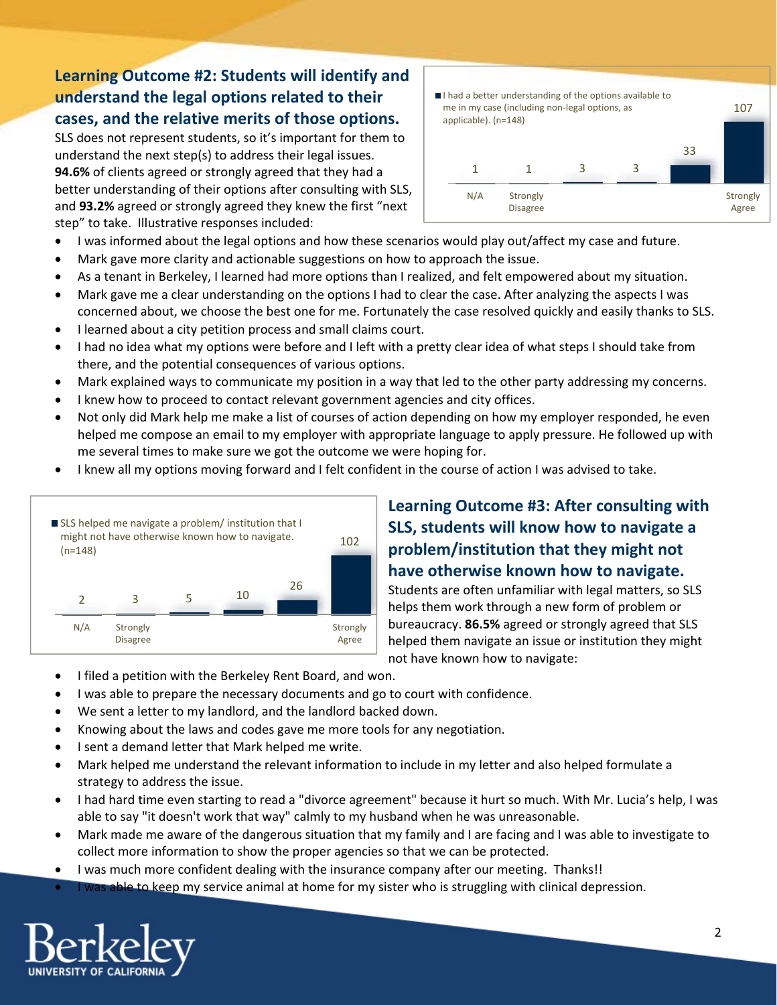## **Learning Outcome #2: Students will identify and understand the legal options related to their cases, and the relative merits of those options.**

SLS does not represent students, so it's important for them to understand the next step(s) to address their legal issues. **94.6%** of clients agreed or strongly agreed that they had a better understanding of their options after consulting with SLS, and **93.2%** agreed or strongly agreed they knew the first "next step" to take. Illustrative responses included:



- I was informed about the legal options and how these scenarios would play out/affect my case and future.
- Mark gave more clarity and actionable suggestions on how to approach the issue.
- As a tenant in Berkeley, I learned had more options than I realized, and felt empowered about my situation.
- Mark gave me a clear understanding on the options I had to clear the case. After analyzing the aspects I was concerned about, we choose the best one for me. Fortunately the case resolved quickly and easily thanks to SLS.
- I learned about a city petition process and small claims court.
- I had no idea what my options were before and I left with a pretty clear idea of what steps I should take from there, and the potential consequences of various options.
- Mark explained ways to communicate my position in a way that led to the other party addressing my concerns.
- I knew how to proceed to contact relevant government agencies and city offices.
- Not only did Mark help me make a list of courses of action depending on how my employer responded, he even helped me compose an email to my employer with appropriate language to apply pressure. He followed up with me several times to make sure we got the outcome we were hoping for.
- I knew all my options moving forward and I felt confident in the course of action I was advised to take.



## **Learning Outcome #3: After consulting with SLS, students will know how to navigate a problem/institution that they might not have otherwise known how to navigate.**

Students are often unfamiliar with legal matters, so SLS helps them work through a new form of problem or bureaucracy. **86.5%** agreed or strongly agreed that SLS helped them navigate an issue or institution they might not have known how to navigate:

- I filed a petition with the Berkeley Rent Board, and won.
- I was able to prepare the necessary documents and go to court with confidence.
- We sent a letter to my landlord, and the landlord backed down.
- Knowing about the laws and codes gave me more tools for any negotiation.
- I sent a demand letter that Mark helped me write.
- Mark helped me understand the relevant information to include in my letter and also helped formulate a strategy to address the issue.
- I had hard time even starting to read a "divorce agreement" because it hurt so much. With Mr. Lucia's help, I was able to say "it doesn't work that way" calmly to my husband when he was unreasonable.
- Mark made me aware of the dangerous situation that my family and I are facing and I was able to investigate to collect more information to show the proper agencies so that we can be protected.
- I was much more confident dealing with the insurance company after our meeting. Thanks!!
- I was able to keep my service animal at home for my sister who is struggling with clinical depression.

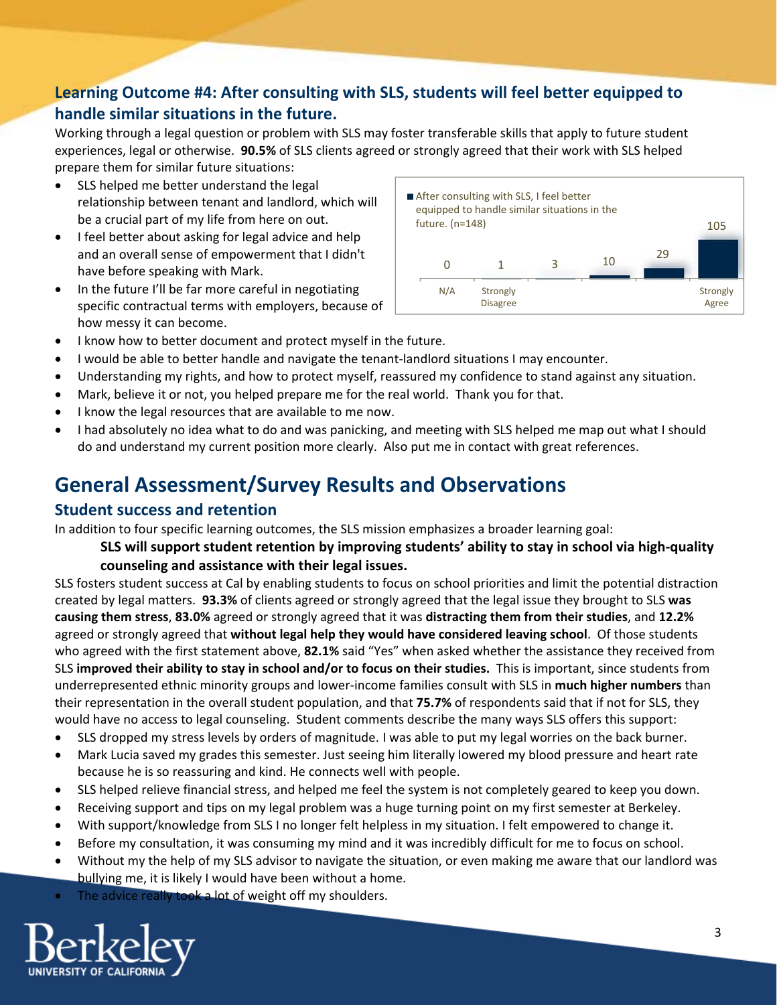# **Learning Outcome #4: After consulting with SLS, students will feel better equipped to handle similar situations in the future.**

Working through a legal question or problem with SLS may foster transferable skills that apply to future student experiences, legal or otherwise. **90.5%** of SLS clients agreed or strongly agreed that their work with SLS helped prepare them for similar future situations:

- SLS helped me better understand the legal relationship between tenant and landlord, which will be a crucial part of my life from here on out.
- I feel better about asking for legal advice and help and an overall sense of empowerment that I didn't have before speaking with Mark.
- In the future I'll be far more careful in negotiating specific contractual terms with employers, because of how messy it can become.



- I know how to better document and protect myself in the future.
- I would be able to better handle and navigate the tenant-landlord situations I may encounter.
- Understanding my rights, and how to protect myself, reassured my confidence to stand against any situation.
- Mark, believe it or not, you helped prepare me for the real world. Thank you for that.
- I know the legal resources that are available to me now.
- I had absolutely no idea what to do and was panicking, and meeting with SLS helped me map out what I should do and understand my current position more clearly. Also put me in contact with great references.

# **General Assessment/Survey Results and Observations**

#### **Student success and retention**

In addition to four specific learning outcomes, the SLS mission emphasizes a broader learning goal:

#### **SLS will support student retention by improving students' ability to stay in school via high‐quality counseling and assistance with their legal issues.**

SLS fosters student success at Cal by enabling students to focus on school priorities and limit the potential distraction created by legal matters. **93.3%** of clients agreed or strongly agreed that the legal issue they brought to SLS **was causing them stress**, **83.0%** agreed or strongly agreed that it was **distracting them from their studies**, and **12.2%** agreed or strongly agreed that **without legal help they would have considered leaving school**. Of those students who agreed with the first statement above, **82.1%** said "Yes" when asked whether the assistance they received from SLS **improved their ability to stay in school and/or to focus on their studies.** This is important, since students from underrepresented ethnic minority groups and lower‐income families consult with SLS in **much higher numbers** than their representation in the overall student population, and that **75.7%** of respondents said that if not for SLS, they would have no access to legal counseling. Student comments describe the many ways SLS offers this support:

- SLS dropped my stress levels by orders of magnitude. I was able to put my legal worries on the back burner.
- Mark Lucia saved my grades this semester. Just seeing him literally lowered my blood pressure and heart rate because he is so reassuring and kind. He connects well with people.
- SLS helped relieve financial stress, and helped me feel the system is not completely geared to keep you down.
- Receiving support and tips on my legal problem was a huge turning point on my first semester at Berkeley.
- With support/knowledge from SLS I no longer felt helpless in my situation. I felt empowered to change it.
- Before my consultation, it was consuming my mind and it was incredibly difficult for me to focus on school.
- Without my the help of my SLS advisor to navigate the situation, or even making me aware that our landlord was bullying me, it is likely I would have been without a home.
- The advice really took a lot of weight off my shoulders.

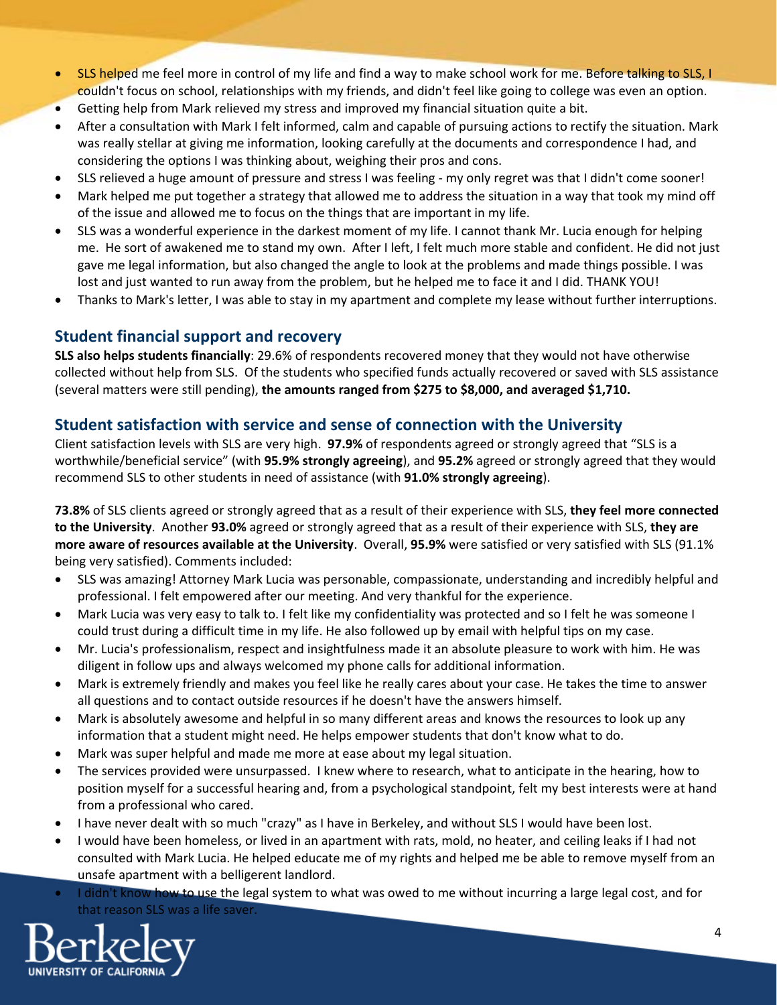- SLS helped me feel more in control of my life and find a way to make school work for me. Before talking to SLS, I couldn't focus on school, relationships with my friends, and didn't feel like going to college was even an option.
- Getting help from Mark relieved my stress and improved my financial situation quite a bit.
- After a consultation with Mark I felt informed, calm and capable of pursuing actions to rectify the situation. Mark was really stellar at giving me information, looking carefully at the documents and correspondence I had, and considering the options I was thinking about, weighing their pros and cons.
- SLS relieved a huge amount of pressure and stress I was feeling ‐ my only regret was that I didn't come sooner!
- Mark helped me put together a strategy that allowed me to address the situation in a way that took my mind off of the issue and allowed me to focus on the things that are important in my life.
- SLS was a wonderful experience in the darkest moment of my life. I cannot thank Mr. Lucia enough for helping me. He sort of awakened me to stand my own. After I left, I felt much more stable and confident. He did not just gave me legal information, but also changed the angle to look at the problems and made things possible. I was lost and just wanted to run away from the problem, but he helped me to face it and I did. THANK YOU!
- Thanks to Mark's letter, I was able to stay in my apartment and complete my lease without further interruptions.

### **Student financial support and recovery**

**SLS also helps students financially**: 29.6% of respondents recovered money that they would not have otherwise collected without help from SLS. Of the students who specified funds actually recovered or saved with SLS assistance (several matters were still pending), **the amounts ranged from \$275 to \$8,000, and averaged \$1,710.**

### **Student satisfaction with service and sense of connection with the University**

Client satisfaction levels with SLS are very high. **97.9%** of respondents agreed or strongly agreed that "SLS is a worthwhile/beneficial service" (with **95.9% strongly agreeing**), and **95.2%** agreed or strongly agreed that they would recommend SLS to other students in need of assistance (with **91.0% strongly agreeing**).

**73.8%** of SLS clients agreed or strongly agreed that as a result of their experience with SLS, **they feel more connected to the University**. Another **93.0%** agreed or strongly agreed that as a result of their experience with SLS, **they are more aware of resources available at the University**. Overall, **95.9%** were satisfied or very satisfied with SLS (91.1% being very satisfied). Comments included:

- SLS was amazing! Attorney Mark Lucia was personable, compassionate, understanding and incredibly helpful and professional. I felt empowered after our meeting. And very thankful for the experience.
- Mark Lucia was very easy to talk to. I felt like my confidentiality was protected and so I felt he was someone I could trust during a difficult time in my life. He also followed up by email with helpful tips on my case.
- Mr. Lucia's professionalism, respect and insightfulness made it an absolute pleasure to work with him. He was diligent in follow ups and always welcomed my phone calls for additional information.
- Mark is extremely friendly and makes you feel like he really cares about your case. He takes the time to answer all questions and to contact outside resources if he doesn't have the answers himself.
- Mark is absolutely awesome and helpful in so many different areas and knows the resources to look up any information that a student might need. He helps empower students that don't know what to do.
- Mark was super helpful and made me more at ease about my legal situation.
- The services provided were unsurpassed. I knew where to research, what to anticipate in the hearing, how to position myself for a successful hearing and, from a psychological standpoint, felt my best interests were at hand from a professional who cared.
- I have never dealt with so much "crazy" as I have in Berkeley, and without SLS I would have been lost.
- I would have been homeless, or lived in an apartment with rats, mold, no heater, and ceiling leaks if I had not consulted with Mark Lucia. He helped educate me of my rights and helped me be able to remove myself from an unsafe apartment with a belligerent landlord.
- I didn't know how to use the legal system to what was owed to me without incurring a large legal cost, and for that reason SLS was a life saver.